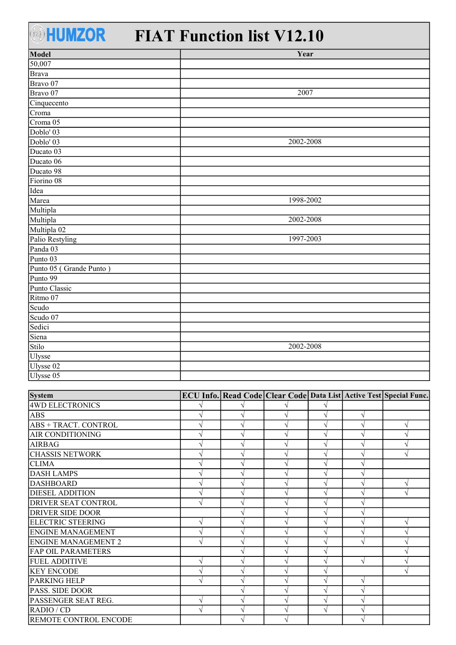## **EHUMZOR** FIAT Function list V12.10

| Model                   | Year      |
|-------------------------|-----------|
| 50,007                  |           |
| <b>Brava</b>            |           |
| Bravo 07                |           |
| Bravo 07                | 2007      |
| Cinquecento             |           |
| Croma                   |           |
| Croma 05                |           |
| Doblo' 03               |           |
| Doblo' 03               | 2002-2008 |
| Ducato 03               |           |
| Ducato 06               |           |
| Ducato 98               |           |
| Fiorino 08              |           |
| Idea                    |           |
| Marea                   | 1998-2002 |
| Multipla                |           |
| Multipla                | 2002-2008 |
| Multipla 02             |           |
| Palio Restyling         | 1997-2003 |
| Panda 03                |           |
| Punto 03                |           |
| Punto 05 (Grande Punto) |           |
| Punto 99                |           |
| Punto Classic           |           |
| Ritmo 07                |           |
| Scudo                   |           |
| Scudo 07                |           |
| Sedici                  |           |
| Siena                   |           |
| Stilo                   | 2002-2008 |
| Ulysse                  |           |
| Ulysse 02               |           |
| Ulysse 05               |           |
|                         |           |

| <b>System</b>                |  |   |               | ECU Info. Read Code   Clear Code   Data List   Active Test   Special Func. |
|------------------------------|--|---|---------------|----------------------------------------------------------------------------|
| <b>4WD ELECTRONICS</b>       |  |   |               |                                                                            |
| <b>ABS</b>                   |  |   |               |                                                                            |
| <b>ABS + TRACT. CONTROL</b>  |  |   |               |                                                                            |
| <b>AIR CONDITIONING</b>      |  |   |               |                                                                            |
| <b>AIRBAG</b>                |  |   |               |                                                                            |
| <b>CHASSIS NETWORK</b>       |  |   |               | ٦                                                                          |
| <b>CLIMA</b>                 |  |   |               |                                                                            |
| <b>DASH LAMPS</b>            |  |   |               |                                                                            |
| <b>DASHBOARD</b>             |  |   |               |                                                                            |
| <b>DIESEL ADDITION</b>       |  |   |               | $\mathbf \Lambda$                                                          |
| <b>DRIVER SEAT CONTROL</b>   |  |   |               |                                                                            |
| <b>DRIVER SIDE DOOR</b>      |  |   |               |                                                                            |
| <b>ELECTRIC STEERING</b>     |  |   | V             | N                                                                          |
| <b>ENGINE MANAGEMENT</b>     |  |   |               |                                                                            |
| <b>ENGINE MANAGEMENT 2</b>   |  |   | $\mathcal{N}$ |                                                                            |
| <b>FAP OIL PARAMETERS</b>    |  |   |               |                                                                            |
| <b>FUEL ADDITIVE</b>         |  |   | $\sqrt{ }$    |                                                                            |
| <b>KEY ENCODE</b>            |  |   |               |                                                                            |
| <b>PARKING HELP</b>          |  |   |               |                                                                            |
| <b>PASS. SIDE DOOR</b>       |  |   |               |                                                                            |
| PASSENGER SEAT REG.          |  |   |               |                                                                            |
| RADIO / CD                   |  | ٦ |               |                                                                            |
| <b>REMOTE CONTROL ENCODE</b> |  |   |               |                                                                            |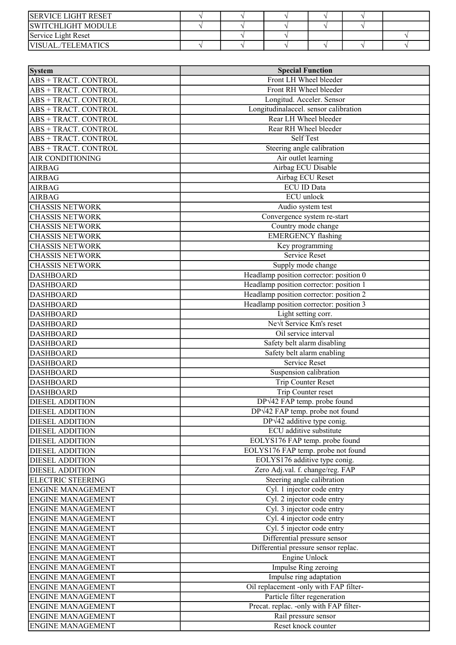| <b>ISERVICE LIGHT RESET</b> |  |  |  |
|-----------------------------|--|--|--|
| <b>ISWITCHLIGHT MODULE</b>  |  |  |  |
| Service Light Reset         |  |  |  |
| IVISUAL/TELEMATICS          |  |  |  |

| System                      | <b>Special Function</b>                 |  |  |  |
|-----------------------------|-----------------------------------------|--|--|--|
| ABS + TRACT. CONTROL        | Front LH Wheel bleeder                  |  |  |  |
| ABS + TRACT. CONTROL        | Front RH Wheel bleeder                  |  |  |  |
| ABS + TRACT. CONTROL        | Longitud. Acceler. Sensor               |  |  |  |
| ABS + TRACT. CONTROL        | Longitudinalaccel. sensor calibration   |  |  |  |
| ABS + TRACT. CONTROL        | Rear LH Wheel bleeder                   |  |  |  |
| ABS + TRACT. CONTROL        | Rear RH Wheel bleeder                   |  |  |  |
| ABS + TRACT. CONTROL        | <b>Self Test</b>                        |  |  |  |
| <b>ABS + TRACT. CONTROL</b> | Steering angle calibration              |  |  |  |
| AIR CONDITIONING            | Air outlet learning                     |  |  |  |
| <b>AIRBAG</b>               | Airbag ECU Disable                      |  |  |  |
| <b>AIRBAG</b>               | Airbag ECU Reset                        |  |  |  |
| <b>AIRBAG</b>               | <b>ECU ID Data</b>                      |  |  |  |
| <b>AIRBAG</b>               | <b>ECU</b> unlock                       |  |  |  |
| <b>CHASSIS NETWORK</b>      | Audio system test                       |  |  |  |
| <b>CHASSIS NETWORK</b>      | Convergence system re-start             |  |  |  |
| <b>CHASSIS NETWORK</b>      | Country mode change                     |  |  |  |
| <b>CHASSIS NETWORK</b>      | <b>EMERGENCY</b> flashing               |  |  |  |
| <b>CHASSIS NETWORK</b>      | Key programming                         |  |  |  |
| <b>CHASSIS NETWORK</b>      | <b>Service Reset</b>                    |  |  |  |
| <b>CHASSIS NETWORK</b>      | Supply mode change                      |  |  |  |
| <b>DASHBOARD</b>            | Headlamp position corrector: position 0 |  |  |  |
| <b>DASHBOARD</b>            | Headlamp position corrector: position 1 |  |  |  |
| <b>DASHBOARD</b>            | Headlamp position corrector: position 2 |  |  |  |
| <b>DASHBOARD</b>            | Headlamp position corrector: position 3 |  |  |  |
| <b>DASHBOARD</b>            | Light setting corr.                     |  |  |  |
| <b>DASHBOARD</b>            | Nevt Service Km's reset                 |  |  |  |
| <b>DASHBOARD</b>            | Oil service interval                    |  |  |  |
| <b>DASHBOARD</b>            | Safety belt alarm disabling             |  |  |  |
| <b>DASHBOARD</b>            | Safety belt alarm enabling              |  |  |  |
| <b>DASHBOARD</b>            | Service Reset                           |  |  |  |
| <b>DASHBOARD</b>            | Suspension calibration                  |  |  |  |
| <b>DASHBOARD</b>            | Trip Counter Reset                      |  |  |  |
| <b>DASHBOARD</b>            | Trip Counter reset                      |  |  |  |
| <b>DIESEL ADDITION</b>      | $DP\sqrt{42}$ FAP temp. probe found     |  |  |  |
| <b>DIESEL ADDITION</b>      | $DP\sqrt{42}$ FAP temp. probe not found |  |  |  |
| <b>DIESEL ADDITION</b>      | $DP\sqrt{42}$ additive type conig.      |  |  |  |
| <b>DIESEL ADDITION</b>      | ECU additive substitute                 |  |  |  |
| <b>DIESEL ADDITION</b>      | EOLYS176 FAP temp. probe found          |  |  |  |
| <b>DIESEL ADDITION</b>      | EOLYS176 FAP temp. probe not found      |  |  |  |
| <b>DIESEL ADDITION</b>      | EOLYS176 additive type conig.           |  |  |  |
| <b>DIESEL ADDITION</b>      | Zero Adj.val. f. change/reg. FAP        |  |  |  |
| <b>ELECTRIC STEERING</b>    | Steering angle calibration              |  |  |  |
| <b>ENGINE MANAGEMENT</b>    | Cyl. 1 injector code entry              |  |  |  |
| <b>ENGINE MANAGEMENT</b>    | Cyl. 2 injector code entry              |  |  |  |
| <b>ENGINE MANAGEMENT</b>    | Cyl. 3 injector code entry              |  |  |  |
| <b>ENGINE MANAGEMENT</b>    | Cyl. 4 injector code entry              |  |  |  |
| <b>ENGINE MANAGEMENT</b>    | Cyl. 5 injector code entry              |  |  |  |
| <b>ENGINE MANAGEMENT</b>    | Differential pressure sensor            |  |  |  |
| <b>ENGINE MANAGEMENT</b>    | Differential pressure sensor replac.    |  |  |  |
| <b>ENGINE MANAGEMENT</b>    | <b>Engine Unlock</b>                    |  |  |  |
| <b>ENGINE MANAGEMENT</b>    | Impulse Ring zeroing                    |  |  |  |
| <b>ENGINE MANAGEMENT</b>    | Impulse ring adaptation                 |  |  |  |
| <b>ENGINE MANAGEMENT</b>    | Oil replacement -only with FAP filter-  |  |  |  |
| <b>ENGINE MANAGEMENT</b>    | Particle filter regeneration            |  |  |  |
| <b>ENGINE MANAGEMENT</b>    | Precat. replac. - only with FAP filter- |  |  |  |
| <b>ENGINE MANAGEMENT</b>    | Rail pressure sensor                    |  |  |  |
| <b>ENGINE MANAGEMENT</b>    | Reset knock counter                     |  |  |  |